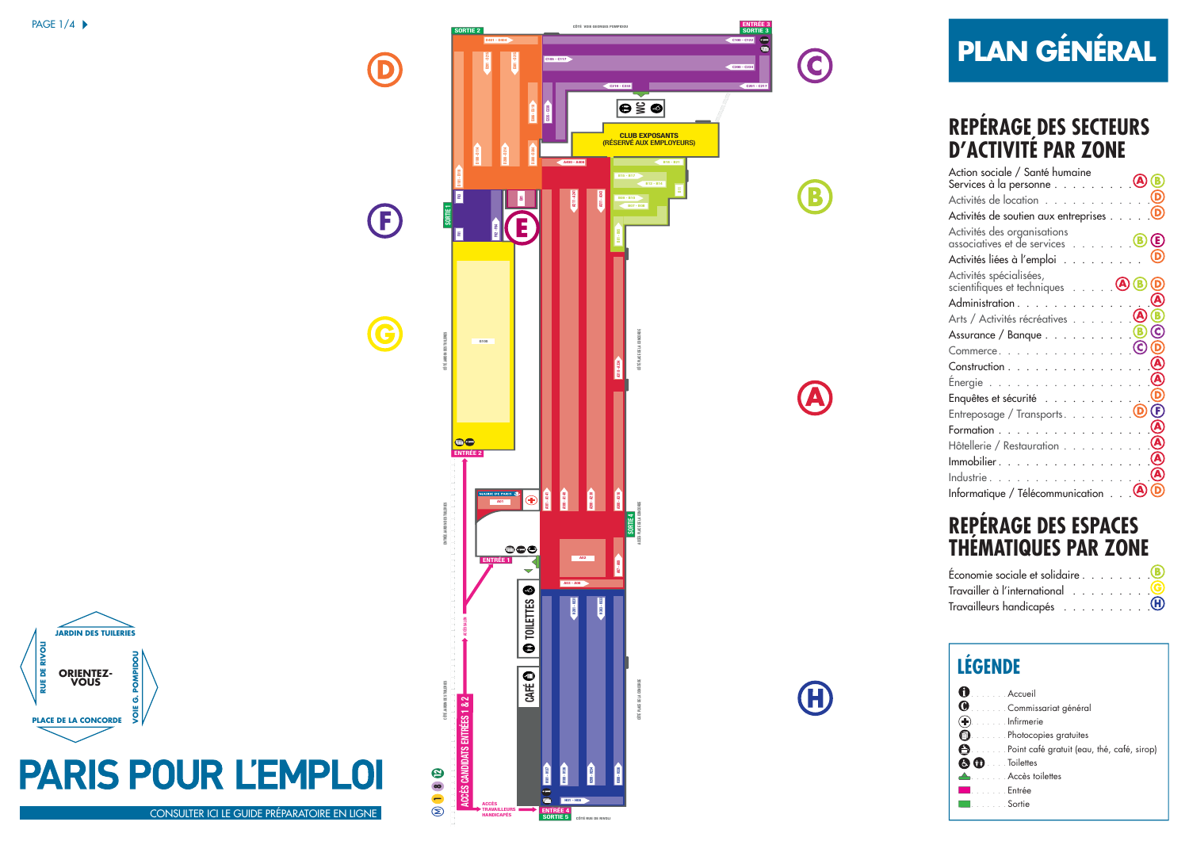**JARDIN DES TUILERIES**

**ORIENTEZ-VOUS**

**PLACE DE LA CONCORDE**

**RUE DE RIVOLI**

**EXPOSEDE RIVOLI** 

**VOIE G. POMPIDOU**

ග්

°

**POMPIDO** 



## **PLAN GÉNÉRAL**

 $\bigodot$ 

B

A

**A** 

## **REPÉRAGE DES SECTEURS D'ACTIVITÉ PAR ZONE**

| Action sociale / Santé humaine                               |
|--------------------------------------------------------------|
| Activités de location                                        |
| Activités de soutien aux entreprises 0                       |
| Activités des organisations<br>associatives et de services B |
| Activités liées à l'emploi                                   |
| Activités spécialisées,<br>scientifiques et techniques 0     |
| Administration                                               |
| $\mathbf{A}$<br>Arts / Activités récréatives                 |
| (C)<br>Assurance / Banque 8                                  |
| Commerce. $\circ$<br>D                                       |
| (A<br>Construction                                           |
| Energie                                                      |
| Enquêtes et sécurité                                         |
| Entreposage / Transports. 0                                  |
| Formation                                                    |
| Hôtellerie / Restauration                                    |
| Immobilier.                                                  |
| Industrie                                                    |
| Informatique / Télécommunication (A                          |

## **REPÉRAGE DES ESPACES THÉMATIQUES PAR ZONE**

| Économie sociale et solidaire 8                              |  |
|--------------------------------------------------------------|--|
| Travailler à l'international U                               |  |
| Travailleurs handicapés $\ldots \ldots \ldots \ldots \oplus$ |  |

## $\bullet$ . . . . . . . Accueil . . . . . . . Commissariat général  $\left(\widehat{+}\right)$ . . . . . . . Infirmerie . . . . . . . Photocopies gratuites . . . . . . . Point café gratuit (eau, thé, café, sirop) **80** ... . Toilettes . Accès toilettes . Entrée **LÉGENDE**

. Sortie

[CONSULTER ICI LE GUIDE PRÉPARATOIRE EN LIGNE](http://carrefoursemploi.org/telechargement/guidePreparatoireparis2013.pdf)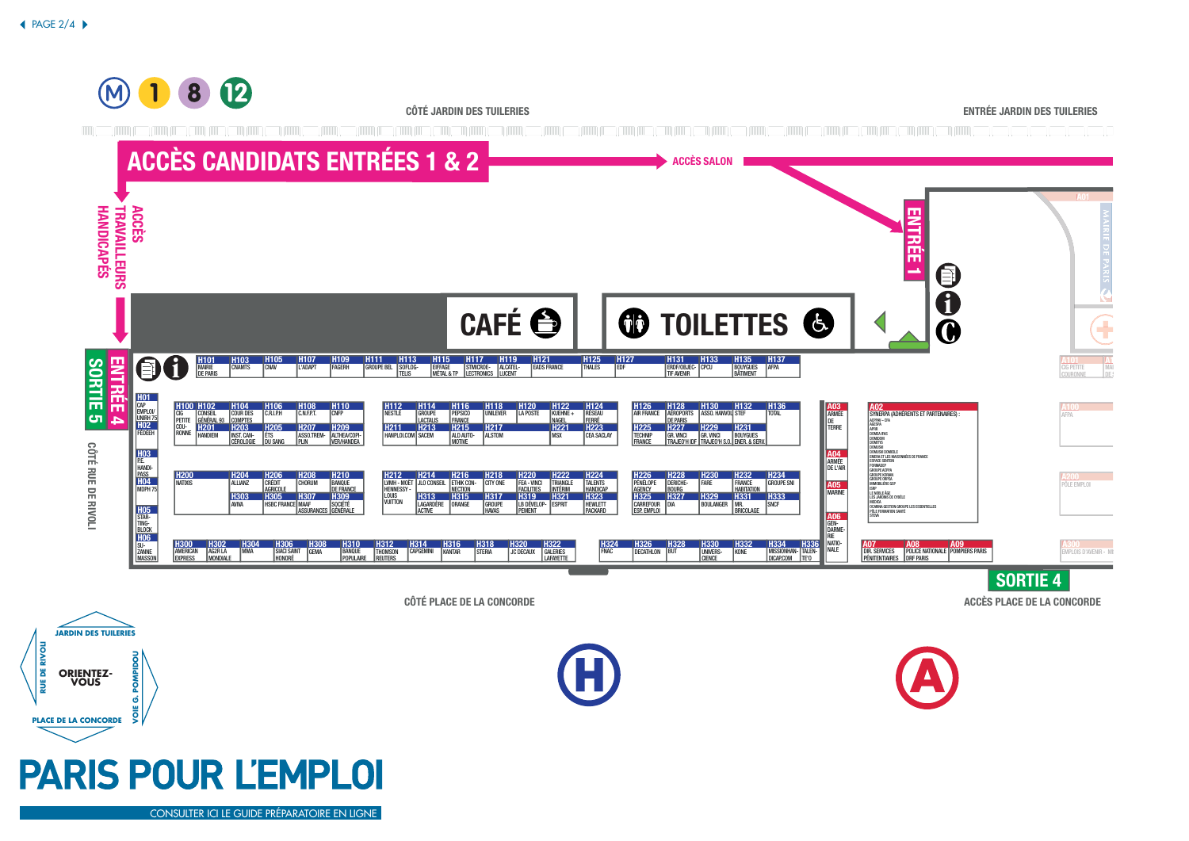**JARDIN DES TUILERIES**

**ORIENTEZ-VOUS**

**PLACE DE LA CONCORDE**

**RUE DE RIVOLI**

**RUE DE RIVOI** 

**VOIE G. POMPIDOU**

**POMPIDO** ග් š

<span id="page-1-0"></span>

[CONSULTER ICI LE GUIDE PRÉPARATOIRE EN LIGNE](http://carrefoursemploi.org/telechargement/guidePreparatoireparis2013.pdf)

**PARIS POUR L'EMPLOI**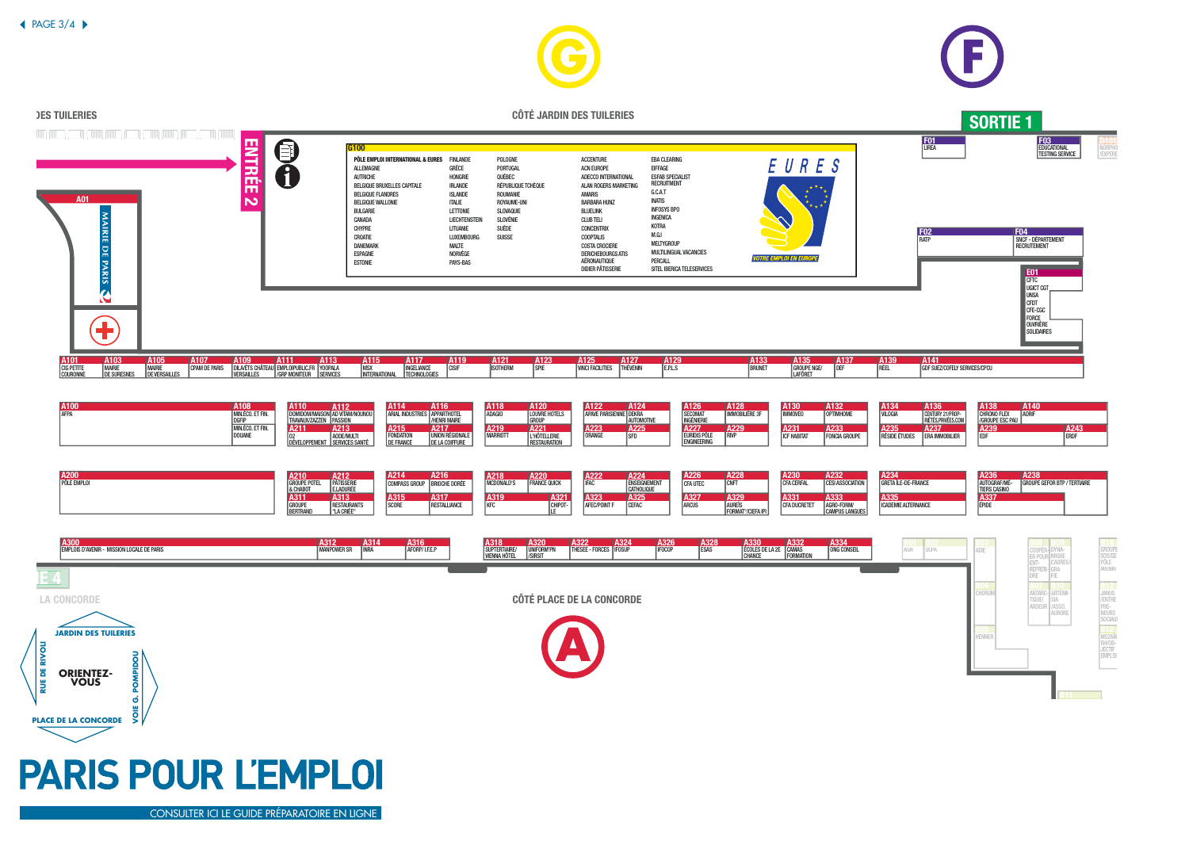

[CONSULTER ICI LE GUIDE PRÉPARATOIRE EN LIGNE](http://carrefoursemploi.org/telechargement/guidePreparatoireparis2013.pdf)

 $\triangle$  [P](#page-1-0)AGE 3/4